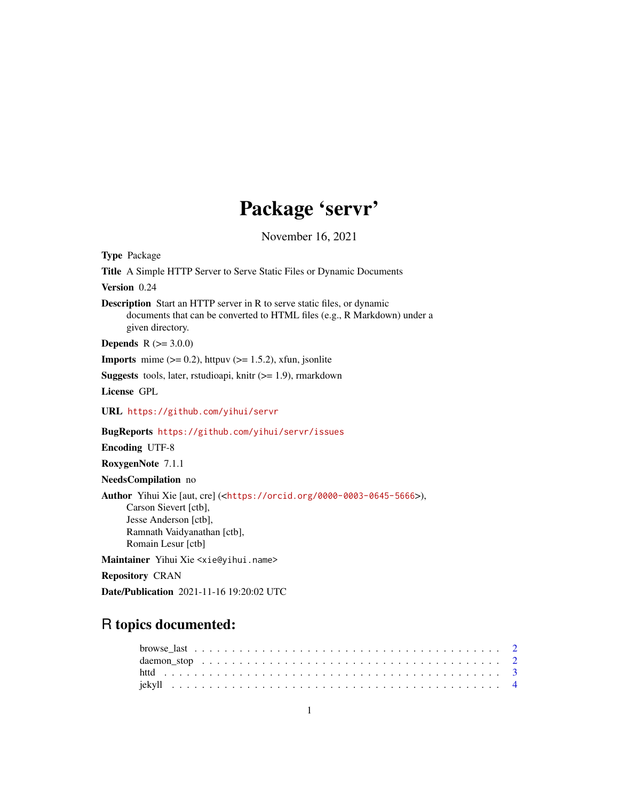# Package 'servr'

November 16, 2021

<span id="page-0-0"></span>Type Package Title A Simple HTTP Server to Serve Static Files or Dynamic Documents Version 0.24 Description Start an HTTP server in R to serve static files, or dynamic documents that can be converted to HTML files (e.g., R Markdown) under a given directory. **Depends** R  $(>= 3.0.0)$ **Imports** mime  $(>= 0.2)$ , httpuv  $(>= 1.5.2)$ , xfun, jsonlite **Suggests** tools, later, rstudioapi, knitr  $(>= 1.9)$ , rmarkdown License GPL URL <https://github.com/yihui/servr> BugReports <https://github.com/yihui/servr/issues> Encoding UTF-8 RoxygenNote 7.1.1 NeedsCompilation no Author Yihui Xie [aut, cre] (<<https://orcid.org/0000-0003-0645-5666>>), Carson Sievert [ctb], Jesse Anderson [ctb], Ramnath Vaidyanathan [ctb], Romain Lesur [ctb] Maintainer Yihui Xie <xie@yihui.name>

Repository CRAN

Date/Publication 2021-11-16 19:20:02 UTC

## R topics documented: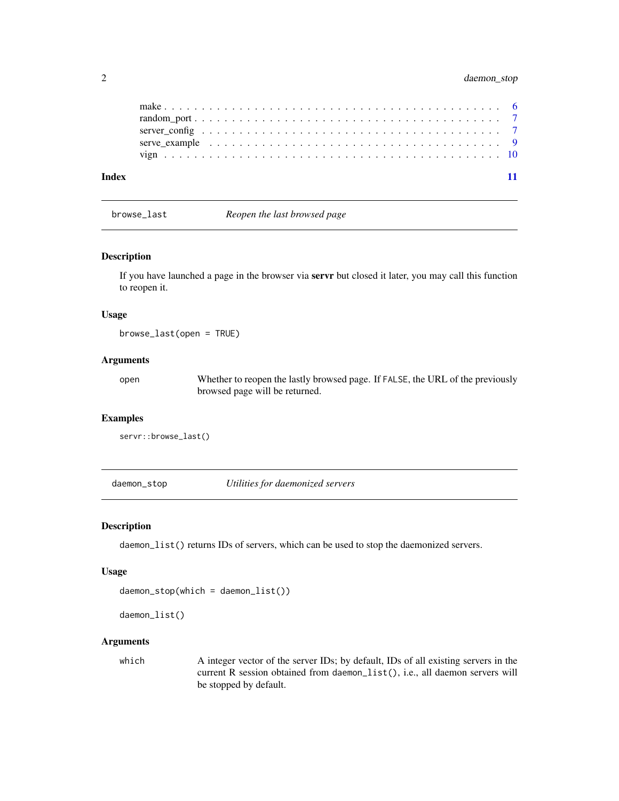<span id="page-1-0"></span>

| Index |  |  |  |  |  |  |  |  |  |  |  |  |  |  |  |  |  |  |  |
|-------|--|--|--|--|--|--|--|--|--|--|--|--|--|--|--|--|--|--|--|
|       |  |  |  |  |  |  |  |  |  |  |  |  |  |  |  |  |  |  |  |
|       |  |  |  |  |  |  |  |  |  |  |  |  |  |  |  |  |  |  |  |
|       |  |  |  |  |  |  |  |  |  |  |  |  |  |  |  |  |  |  |  |
|       |  |  |  |  |  |  |  |  |  |  |  |  |  |  |  |  |  |  |  |
|       |  |  |  |  |  |  |  |  |  |  |  |  |  |  |  |  |  |  |  |

browse\_last *Reopen the last browsed page*

#### Description

If you have launched a page in the browser via servr but closed it later, you may call this function to reopen it.

#### Usage

browse\_last(open = TRUE)

#### Arguments

open Whether to reopen the lastly browsed page. If FALSE, the URL of the previously browsed page will be returned.

#### Examples

```
servr::browse_last()
```
daemon\_stop *Utilities for daemonized servers*

#### Description

daemon\_list() returns IDs of servers, which can be used to stop the daemonized servers.

#### Usage

```
daemon_stop(which = daemon_list())
```
daemon\_list()

### Arguments

which A integer vector of the server IDs; by default, IDs of all existing servers in the current R session obtained from daemon\_list(), i.e., all daemon servers will be stopped by default.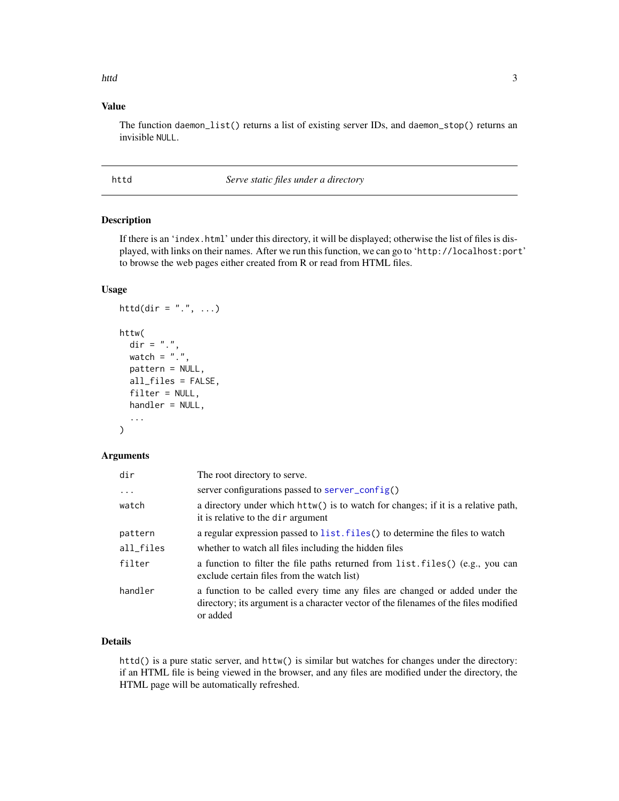#### <span id="page-2-0"></span>httd 3

## Value

The function daemon\_list() returns a list of existing server IDs, and daemon\_stop() returns an invisible NULL.

<span id="page-2-1"></span>

httd *Serve static files under a directory*

## Description

If there is an 'index.html' under this directory, it will be displayed; otherwise the list of files is displayed, with links on their names. After we run this function, we can go to 'http://localhost:port' to browse the web pages either created from R or read from HTML files.

## Usage

```
httd(dir = ".", \ldots)
httw(
  \text{dir} = "."watch = ".".pattern = NULL,
  all_files = FALSE,
  filter = NULL,handler = NULL,
  ...
)
```
## Arguments

| dir        | The root directory to serve.                                                                                                                                                    |
|------------|---------------------------------------------------------------------------------------------------------------------------------------------------------------------------------|
| $\ddots$ . | server configurations passed to server_config()                                                                                                                                 |
| watch      | a directory under which httw() is to watch for changes; if it is a relative path,<br>it is relative to the dir argument                                                         |
| pattern    | a regular expression passed to list. files () to determine the files to watch                                                                                                   |
| all_files  | whether to watch all files including the hidden files                                                                                                                           |
| filter     | a function to filter the file paths returned from list. files () (e.g., you can<br>exclude certain files from the watch list)                                                   |
| handler    | a function to be called every time any files are changed or added under the<br>directory; its argument is a character vector of the filenames of the files modified<br>or added |

## Details

httd() is a pure static server, and httw() is similar but watches for changes under the directory: if an HTML file is being viewed in the browser, and any files are modified under the directory, the HTML page will be automatically refreshed.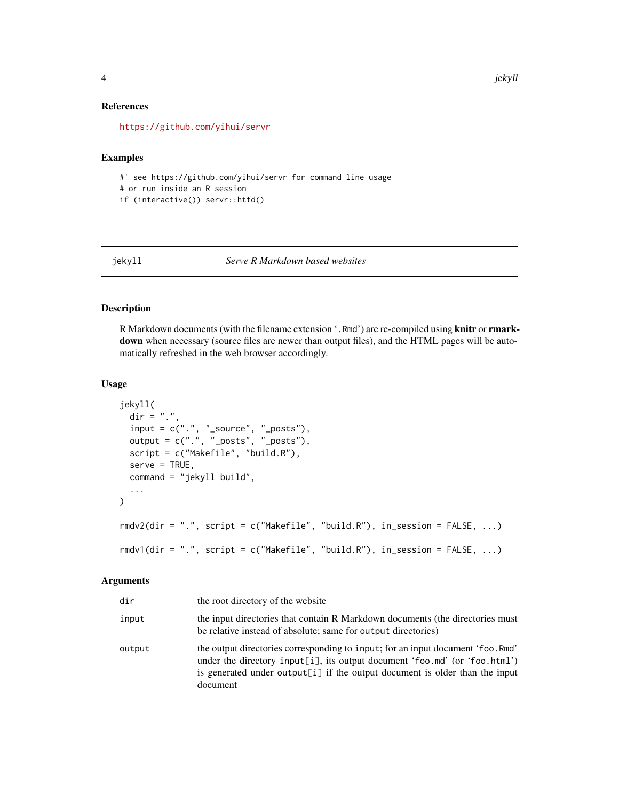#### References

<https://github.com/yihui/servr>

#### Examples

#' see https://github.com/yihui/servr for command line usage # or run inside an R session if (interactive()) servr::httd()

#### jekyll *Serve R Markdown based websites*

## <span id="page-3-1"></span>Description

R Markdown documents (with the filename extension '.Rmd') are re-compiled using knitr or rmarkdown when necessary (source files are newer than output files), and the HTML pages will be automatically refreshed in the web browser accordingly.

### Usage

```
jekyll(
 \text{dir} = "."input = c("."," "source", "—posts"),output = c("."," "—posts", "\_posts"),script = c("Makefile", "build.R"),
  serve = TRUE,
  command = "jekyll build",
  ...
)
rmdv2(dir = ".", script = c("Makefile", "build.R"), in_session = FALSE, ...)
rmdv1(dir = ".", script = c("Makefile", "build.R"), in_session = FALSE, \dots)
```
#### Arguments

| dir    | the root directory of the website                                                                                                                                                                                                                          |
|--------|------------------------------------------------------------------------------------------------------------------------------------------------------------------------------------------------------------------------------------------------------------|
| input  | the input directories that contain R Markdown documents (the directories must<br>be relative instead of absolute; same for output directories)                                                                                                             |
| output | the output directories corresponding to input; for an input document 'foo. Rmd'<br>under the directory input [i], its output document 'foo.md' (or 'foo.html')<br>is generated under output [i] if the output document is older than the input<br>document |

<span id="page-3-0"></span>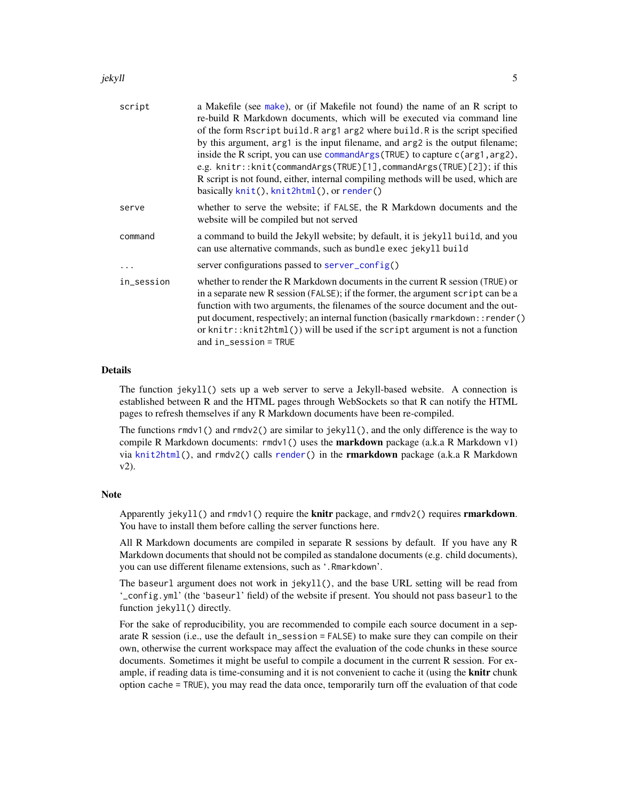#### <span id="page-4-0"></span>jekyll 5

| script     | a Makefile (see make), or (if Makefile not found) the name of an R script to<br>re-build R Markdown documents, which will be executed via command line<br>of the form Rscript build. R arg1 arg2 where build. R is the script specified<br>by this argument, arg1 is the input filename, and arg2 is the output filename;<br>inside the R script, you can use commandargs (TRUE) to capture c (arg1, arg2),<br>e.g. knitr::knit(commandArgs(TRUE)[1], commandArgs(TRUE)[2]); if this<br>R script is not found, either, internal compiling methods will be used, which are<br>basically knit(), knit2html(), or render() |
|------------|-------------------------------------------------------------------------------------------------------------------------------------------------------------------------------------------------------------------------------------------------------------------------------------------------------------------------------------------------------------------------------------------------------------------------------------------------------------------------------------------------------------------------------------------------------------------------------------------------------------------------|
| serve      | whether to serve the website; if FALSE, the R Markdown documents and the                                                                                                                                                                                                                                                                                                                                                                                                                                                                                                                                                |
|            | website will be compiled but not served                                                                                                                                                                                                                                                                                                                                                                                                                                                                                                                                                                                 |
| command    | a command to build the Jekyll website; by default, it is jekyll build, and you<br>can use alternative commands, such as bundle exec jekyll build                                                                                                                                                                                                                                                                                                                                                                                                                                                                        |
|            | server configurations passed to server_config()                                                                                                                                                                                                                                                                                                                                                                                                                                                                                                                                                                         |
| in_session | whether to render the R Markdown documents in the current R session (TRUE) or<br>in a separate new R session (FALSE); if the former, the argument script can be a<br>function with two arguments, the filenames of the source document and the out-<br>put document, respectively; an internal function (basically rmarkdown:: render()<br>or knitr:: knit2html $()$ ) will be used if the script argument is not a function<br>and $in\_session = TRUE$                                                                                                                                                                |

## Details

The function jekyll() sets up a web server to serve a Jekyll-based website. A connection is established between R and the HTML pages through WebSockets so that R can notify the HTML pages to refresh themselves if any R Markdown documents have been re-compiled.

The functions rmdv1() and rmdv2() are similar to jekyll(), and the only difference is the way to compile R Markdown documents:  $rmdv1()$  uses the **markdown** package (a.k.a R Markdown v1) via [knit2html\(](#page-0-0)), and rmdv2() calls [render\(](#page-0-0)) in the **rmarkdown** package (a.k.a R Markdown v2).

## **Note**

Apparently jekyll() and  $r$ mdv1() require the **knitr** package, and  $r$ mdv2() requires **rmarkdown**. You have to install them before calling the server functions here.

All R Markdown documents are compiled in separate R sessions by default. If you have any R Markdown documents that should not be compiled as standalone documents (e.g. child documents), you can use different filename extensions, such as '.Rmarkdown'.

The baseurl argument does not work in jekyll(), and the base URL setting will be read from '\_config.yml' (the 'baseurl' field) of the website if present. You should not pass baseurl to the function jekyll() directly.

For the sake of reproducibility, you are recommended to compile each source document in a separate R session (i.e., use the default in\_session = FALSE) to make sure they can compile on their own, otherwise the current workspace may affect the evaluation of the code chunks in these source documents. Sometimes it might be useful to compile a document in the current R session. For example, if reading data is time-consuming and it is not convenient to cache it (using the knitr chunk option cache = TRUE), you may read the data once, temporarily turn off the evaluation of that code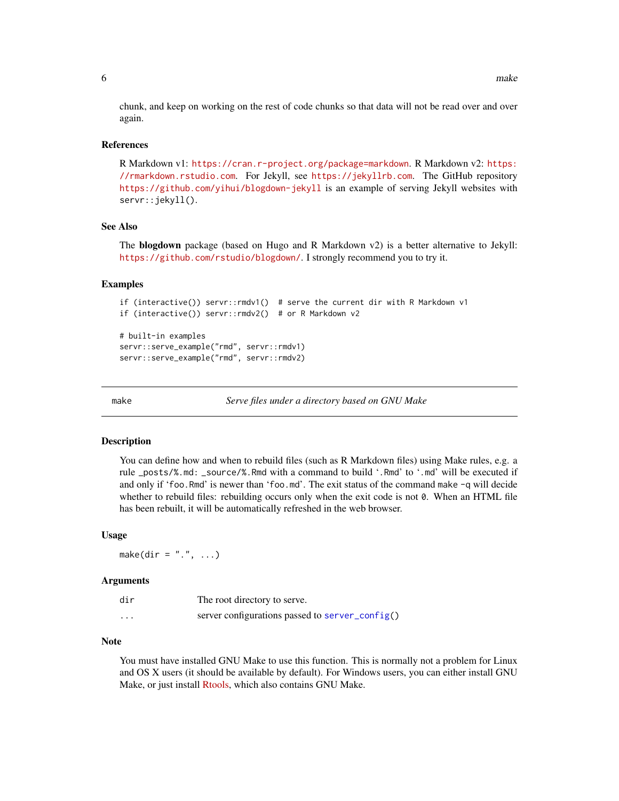<span id="page-5-0"></span>chunk, and keep on working on the rest of code chunks so that data will not be read over and over again.

#### References

R Markdown v1: <https://cran.r-project.org/package=markdown>. R Markdown v2: [https:](https://rmarkdown.rstudio.com) [//rmarkdown.rstudio.com](https://rmarkdown.rstudio.com). For Jekyll, see <https://jekyllrb.com>. The GitHub repository <https://github.com/yihui/blogdown-jekyll> is an example of serving Jekyll websites with servr::jekyll().

#### See Also

The **blogdown** package (based on Hugo and R Markdown v2) is a better alternative to Jekyll: <https://github.com/rstudio/blogdown/>. I strongly recommend you to try it.

#### Examples

```
if (interactive()) servr::rmdv1() # serve the current dir with R Markdown v1
if (interactive()) servr::rmdv2() # or R Markdown v2
# built-in examples
servr::serve_example("rmd", servr::rmdv1)
servr::serve_example("rmd", servr::rmdv2)
```
<span id="page-5-1"></span>

make *Serve files under a directory based on GNU Make*

#### Description

You can define how and when to rebuild files (such as R Markdown files) using Make rules, e.g. a rule \_posts/%.md: \_source/%.Rmd with a command to build '.Rmd' to '.md' will be executed if and only if 'foo.Rmd' is newer than 'foo.md'. The exit status of the command make -q will decide whether to rebuild files: rebuilding occurs only when the exit code is not 0. When an HTML file has been rebuilt, it will be automatically refreshed in the web browser.

#### Usage

make(dir =  $",", \ldots)$ 

#### Arguments

| dir                  | The root directory to serve.                    |
|----------------------|-------------------------------------------------|
| $\ddot{\phantom{0}}$ | server configurations passed to server_config() |

#### **Note**

You must have installed GNU Make to use this function. This is normally not a problem for Linux and OS X users (it should be available by default). For Windows users, you can either install GNU Make, or just install [Rtools,](https://cran.r-project.org/bin/windows/Rtools/) which also contains GNU Make.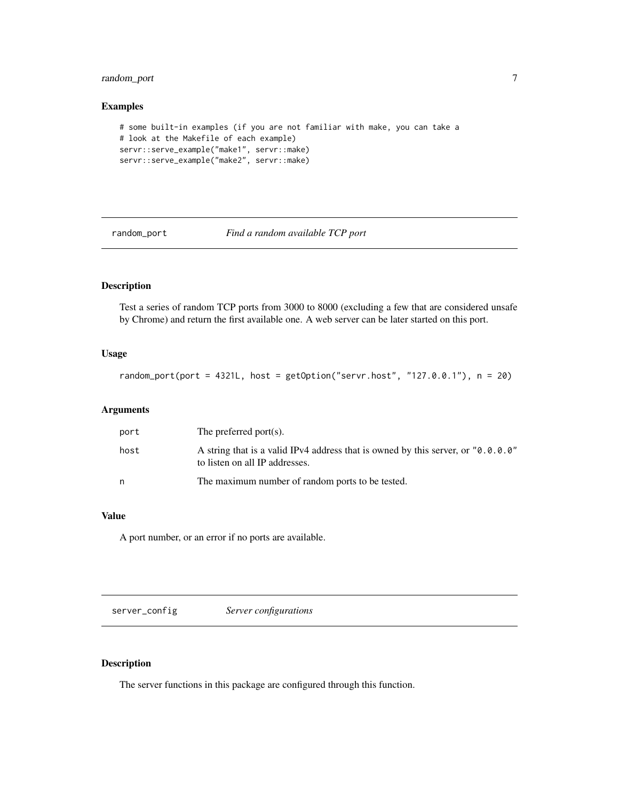## <span id="page-6-0"></span>random\_port 7

#### Examples

```
# some built-in examples (if you are not familiar with make, you can take a
# look at the Makefile of each example)
servr::serve_example("make1", servr::make)
servr::serve_example("make2", servr::make)
```
random\_port *Find a random available TCP port*

## Description

Test a series of random TCP ports from 3000 to 8000 (excluding a few that are considered unsafe by Chrome) and return the first available one. A web server can be later started on this port.

#### Usage

random\_port(port =  $4321L$ , host =  $getOption("server.host", "127.0.0.1"), n = 20)$ 

#### Arguments

| port | The preferred port $(s)$ .                                                                                         |
|------|--------------------------------------------------------------------------------------------------------------------|
| host | A string that is a valid IPv4 address that is owned by this server, or "0.0.0.0"<br>to listen on all IP addresses. |
| n    | The maximum number of random ports to be tested.                                                                   |

### Value

A port number, or an error if no ports are available.

<span id="page-6-1"></span>server\_config *Server configurations*

## Description

The server functions in this package are configured through this function.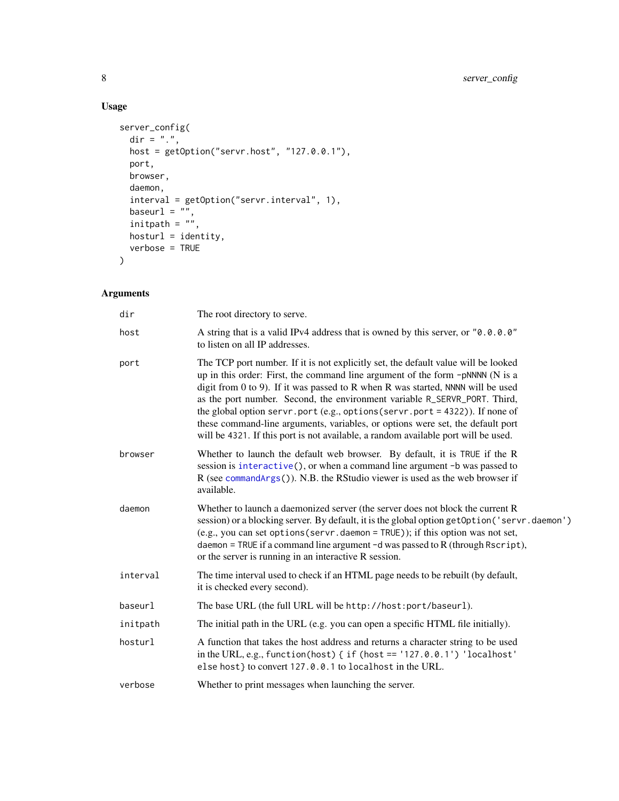## Usage

```
server_config(
 dir = ".",
 host = getOption("servr.host", "127.0.0.1"),
  port,
  browser,
  daemon,
  interval = getOption("servr.interval", 1),
  \text{baseurl} = "",initpath = ",
  hosturl = identity,verbose = TRUE
\mathcal{L}
```
## Arguments

| dir      | The root directory to serve.                                                                                                                                                                                                                                                                                                                                                                                                                                                                                                                                                                |
|----------|---------------------------------------------------------------------------------------------------------------------------------------------------------------------------------------------------------------------------------------------------------------------------------------------------------------------------------------------------------------------------------------------------------------------------------------------------------------------------------------------------------------------------------------------------------------------------------------------|
| host     | A string that is a valid IPv4 address that is owned by this server, or "0.0.0.0"<br>to listen on all IP addresses.                                                                                                                                                                                                                                                                                                                                                                                                                                                                          |
| port     | The TCP port number. If it is not explicitly set, the default value will be looked<br>up in this order: First, the command line argument of the form -pNNNN (N is a<br>digit from 0 to 9). If it was passed to R when R was started, NNNN will be used<br>as the port number. Second, the environment variable R_SERVR_PORT. Third,<br>the global option servr.port (e.g., options (servr.port = 4322)). If none of<br>these command-line arguments, variables, or options were set, the default port<br>will be 4321. If this port is not available, a random available port will be used. |
| browser  | Whether to launch the default web browser. By default, it is TRUE if the R<br>session is interactive(), or when a command line argument -b was passed to<br>R (see commandArgs()). N.B. the RStudio viewer is used as the web browser if<br>available.                                                                                                                                                                                                                                                                                                                                      |
| daemon   | Whether to launch a daemonized server (the server does not block the current R<br>session) or a blocking server. By default, it is the global option getOption ('servr.daemon')<br>$(e.g., you can set options(servr.daemon = TRUE));$ if this option was not set,<br>daemon = TRUE if a command line argument $-d$ was passed to R (through Rscript),<br>or the server is running in an interactive R session.                                                                                                                                                                             |
| interval | The time interval used to check if an HTML page needs to be rebuilt (by default,<br>it is checked every second).                                                                                                                                                                                                                                                                                                                                                                                                                                                                            |
| baseurl  | The base URL (the full URL will be http://host:port/baseurl).                                                                                                                                                                                                                                                                                                                                                                                                                                                                                                                               |
| initpath | The initial path in the URL (e.g. you can open a specific HTML file initially).                                                                                                                                                                                                                                                                                                                                                                                                                                                                                                             |
| hosturl  | A function that takes the host address and returns a character string to be used<br>in the URL, e.g., function(host) { $if$ (host == '127.0.0.1') 'localhost'<br>else host} to convert 127.0.0.1 to localhost in the URL.                                                                                                                                                                                                                                                                                                                                                                   |
| verbose  | Whether to print messages when launching the server.                                                                                                                                                                                                                                                                                                                                                                                                                                                                                                                                        |
|          |                                                                                                                                                                                                                                                                                                                                                                                                                                                                                                                                                                                             |

<span id="page-7-0"></span>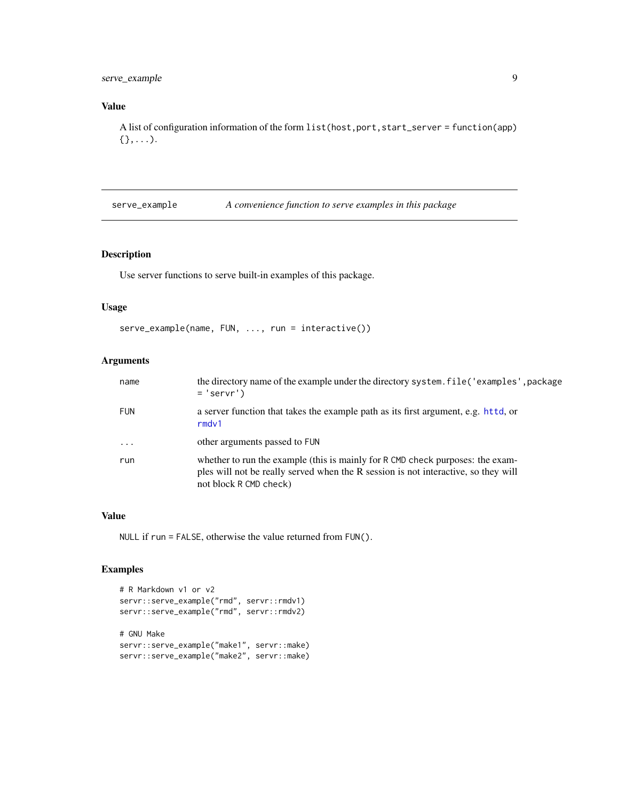## <span id="page-8-0"></span>serve\_example 9

## Value

A list of configuration information of the form list(host,port,start\_server = function(app)  $\{\},\ldots$ ).

serve\_example *A convenience function to serve examples in this package*

## Description

Use server functions to serve built-in examples of this package.

### Usage

```
serve_example(name, FUN, ..., run = interactive())
```
## Arguments

| name       | the directory name of the example under the directory system. file ('examples', package<br>$= 'server')$                                                                                       |
|------------|------------------------------------------------------------------------------------------------------------------------------------------------------------------------------------------------|
| <b>FUN</b> | a server function that takes the example path as its first argument, e.g. httd, or<br>rmdv1                                                                                                    |
| $\ddots$   | other arguments passed to FUN                                                                                                                                                                  |
| run        | whether to run the example (this is mainly for R CMD check purposes: the exam-<br>ples will not be really served when the R session is not interactive, so they will<br>not block R CMD check) |

#### Value

NULL if run = FALSE, otherwise the value returned from FUN().

#### Examples

```
# R Markdown v1 or v2
servr::serve_example("rmd", servr::rmdv1)
servr::serve_example("rmd", servr::rmdv2)
# GNU Make
servr::serve_example("make1", servr::make)
servr::serve_example("make2", servr::make)
```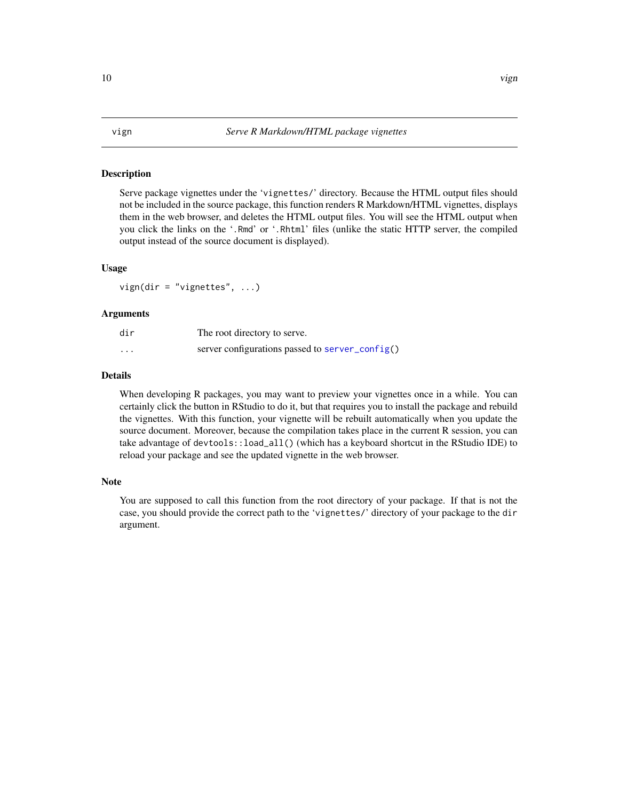#### <span id="page-9-0"></span>Description

Serve package vignettes under the 'vignettes/' directory. Because the HTML output files should not be included in the source package, this function renders R Markdown/HTML vignettes, displays them in the web browser, and deletes the HTML output files. You will see the HTML output when you click the links on the '.Rmd' or '.Rhtml' files (unlike the static HTTP server, the compiled output instead of the source document is displayed).

### Usage

vign(dir = "vignettes", ...)

#### Arguments

| dir                  | The root directory to serve.                    |
|----------------------|-------------------------------------------------|
| $\ddot{\phantom{0}}$ | server configurations passed to server_config() |

#### Details

When developing R packages, you may want to preview your vignettes once in a while. You can certainly click the button in RStudio to do it, but that requires you to install the package and rebuild the vignettes. With this function, your vignette will be rebuilt automatically when you update the source document. Moreover, because the compilation takes place in the current R session, you can take advantage of devtools::load\_all() (which has a keyboard shortcut in the RStudio IDE) to reload your package and see the updated vignette in the web browser.

#### Note

You are supposed to call this function from the root directory of your package. If that is not the case, you should provide the correct path to the 'vignettes/' directory of your package to the dir argument.